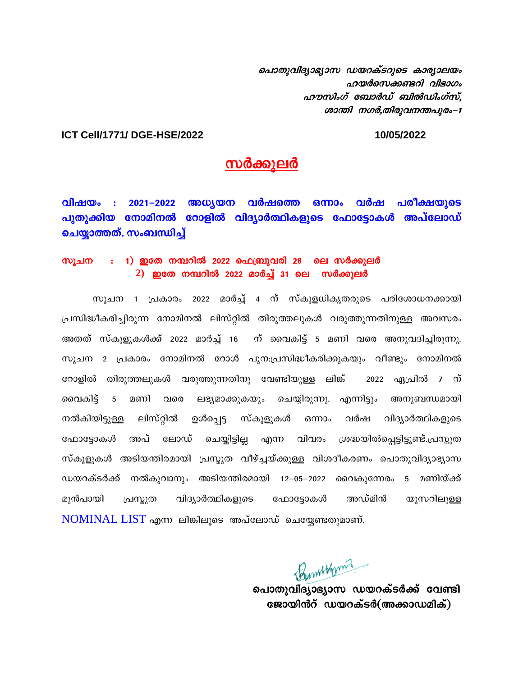ചൊതുവിദ്യാഭ്യാസ ഡയറക്ടറുടെ കാര്യാലയം ഹയർസെക്കണ്ടറി വിഭാഗം  $a$ ഗൗസിംഗ് ബോർഡ് ബിൽഡിംഗ്സ്, ശാന്തി നഗർ,തിരുവനന്തപുരം-1

## **ICT Cell/1771/ DGE-HSE/2022 10/05/2022**

## സർക്കുലർ

 $\Omega$ ിഷയം : 2021–2022 അധ്യയന വർഷത്തെ ഒന്നാം വർഷ പരീക്ഷയുടെ പുതുക്കിയ നോമിനൽ റോളിൽ വിദ്യാർത്ഥികളുടെ ഫോട്ടോകൾ അപ്ലോഡ് ചെയ്യാത്തത്. സംബന്ധിച്ച്

## സൂചന  $\cdots$  1) ഇതേ നമ്പറിൽ 2022 ഫെബ്രുവരി 28 ലെ സർക്കുലർ 2) ഇതേ നമ്പറിൽ 2022 മാർച്ച് 31 ലെ സർക്കുലർ

സുചന 1 പ്രകാരം 2022 മാർച്ച് 4 ന് സ്കുളധികൃതരുടെ പരിശോധനക്കായി പ്രസിദ്ധീകരിച്ചിരുന്ന നോമിനൽ ലിസ്റ്റിൽ തിരുത്തലുകൾ വരുത്തുന്നതിനുള്ള അവസരം <u>അതത് സ്കൂളുകൾക്ക് 2022 മാർച്ച് 16 ന് വൈകിട്ട് 5 മണി വരെ അനുവദിച്ചിരുന്നു.</u> സുചന 2 പ്രകാരം നോമിനൽ റോൾ പുന:പ്രസിദ്ധീകരിക്കുകയും വീണ്ടും നോമിനൽ റോളിൽ തിരുത്തലുകൾ വരുത്തുന്നതിനു വേണ്ടിയുള്ള ലിങ്ക് 2022 ഏപ്രിൽ 7 ന് ൈകിട്ട് 5 മണി വരെ ലഭ്യമാക്കുകയും ചെയ്യിരുന്നു. എന്നിട്ടും അനുബന്ധമായി നൽകിയിട്ടുള്ള ലിസ്റ്റിൽ ഉൾപ്പെട്ട സ്കൂളുകൾ ഒന്നാം വർഷ വിദ്യാർത്ഥികളുടെ ഫോട്ടോകൾ അപ് ലോഡ് ചെയ്യിട്ടില്ല എന്ന വിവരം ശ്രദ്ധയിൽപ്പെട്ടിട്ടുണ്ട്.പ്രസ്കുത സ്കുളുകൾ അടിയന്തിരമായി പ്രസ്കുത വീഴ്ച്ചയ്ക്കുള്ള വിശദീകരണം പൊതുവിദ്യാഭ്യാസ ഡയറക്ടർക്ക് നൽകുവാനും അടിയന്തിരമായി 12–05–2022 വൈകുന്നേരം 5 മണിയ്ക്ക് മുൻപായി പ്രസ്കുത വിദ്യാർത്ഥികളുടെ ഫോട്ടോകൾ അഡ്മിൻ യൂസറിലുള്ള NOMINAL LIST എന്ന ലിങ്കിലൂടെ അപ്ലോഡ് ചെയ്യേണ്ടതുമാണ്.

പൊതുവിദ്യാഭ്യാസ ഡയറക്ടർക്ക് വേണ്ടി ജോയിൻറ് ഡയറക്ടർ(അക്കാഡമിക്)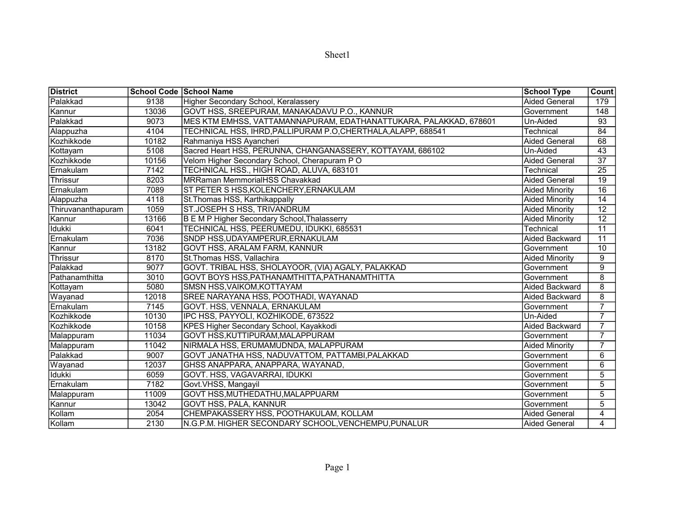| ۱e<br>г.<br>Æ |
|---------------|
|---------------|

| <b>District</b>    |       | School Code School Name                                           | <b>School Type</b>    | Count           |
|--------------------|-------|-------------------------------------------------------------------|-----------------------|-----------------|
| Palakkad           | 9138  | Higher Secondary School, Keralassery                              | <b>Aided General</b>  | 179             |
| Kannur             | 13036 | GOVT HSS, SREEPURAM, MANAKADAVU P.O., KANNUR                      | Government            | 148             |
| Palakkad           | 9073  | MES KTM EMHSS, VATTAMANNAPURAM, EDATHANATTUKARA, PALAKKAD, 678601 | Un-Aided              | 93              |
| Alappuzha          | 4104  | TECHNICAL HSS, IHRD, PALLIPURAM P.O, CHERTHALA, ALAPP, 688541     | <b>Technical</b>      | 84              |
| Kozhikkode         | 10182 | Rahmaniya HSS Ayancheri                                           | <b>Aided General</b>  | 68              |
| Kottayam           | 5108  | Sacred Heart HSS, PERUNNA, CHANGANASSERY, KOTTAYAM, 686102        | Un-Aided              | $\overline{43}$ |
| Kozhikkode         | 10156 | Velom Higher Secondary School, Cherapuram PO                      | <b>Aided General</b>  | $\overline{37}$ |
| Ernakulam          | 7142  | TECHNICAL HSS., HIGH ROAD, ALUVA, 683101                          | Technical             | $\overline{25}$ |
| Thrissur           | 8203  | <b>MRRaman MemmorialHSS Chavakkad</b>                             | <b>Aided General</b>  | 19              |
| Ernakulam          | 7089  | ST PETER S HSS, KOLENCHERY, ERNAKULAM                             | <b>Aided Minority</b> | 16              |
| Alappuzha          | 4118  | St. Thomas HSS, Karthikappally                                    | <b>Aided Minority</b> | $\overline{14}$ |
| Thiruvananthapuram | 1059  | ST.JOSEPH S HSS, TRIVANDRUM                                       | <b>Aided Minority</b> | 12              |
| Kannur             | 13166 | B E M P Higher Secondary School, Thalasserry                      | <b>Aided Minority</b> | $\overline{12}$ |
| Idukki             | 6041  | TECHNICAL HSS, PEERUMEDU, IDUKKI, 685531                          | Technical             | 11              |
| Ernakulam          | 7036  | SNDP HSS, UDAYAMPERUR, ERNAKULAM                                  | Aided Backward        | $\overline{11}$ |
| Kannur             | 13182 | GOVT HSS, ARALAM FARM, KANNUR                                     | Government            | 10              |
| Thrissur           | 8170  | St. Thomas HSS, Vallachira                                        | <b>Aided Minority</b> | 9               |
| Palakkad           | 9077  | GOVT. TRIBAL HSS, SHOLAYOOR, (VIA) AGALY, PALAKKAD                | Government            | 9               |
| Pathanamthitta     | 3010  | GOVT BOYS HSS, PATHANAMTHITTA, PATHANAMTHITTA                     | Government            | 8               |
| Kottayam           | 5080  | SMSN HSS, VAIKOM, KOTTAYAM                                        | Aided Backward        | 8               |
| Wayanad            | 12018 | SREE NARAYANA HSS, POOTHADI, WAYANAD                              | Aided Backward        | 8               |
| Ernakulam          | 7145  | GOVT. HSS, VENNALA, ERNAKULAM                                     | Government            | 7               |
| Kozhikkode         | 10130 | IPC HSS, PAYYOLI, KOZHIKODE, 673522                               | Un-Aided              | $\overline{7}$  |
| Kozhikkode         | 10158 | KPES Higher Secondary School, Kayakkodi                           | Aided Backward        | $\overline{7}$  |
| Malappuram         | 11034 | GOVT HSS, KUTTIPURAM, MALAPPURAM                                  | Government            | $\overline{7}$  |
| Malappuram         | 11042 | NIRMALA HSS, ERUMAMUDNDA, MALAPPURAM                              | <b>Aided Minority</b> | $\overline{7}$  |
| Palakkad           | 9007  | GOVT JANATHA HSS, NADUVATTOM, PATTAMBI, PALAKKAD                  | Government            | 6               |
| Wayanad            | 12037 | GHSS ANAPPARA, ANAPPARA, WAYANAD,                                 | Government            | 6               |
| <b>Idukki</b>      | 6059  | GOVT. HSS, VAGAVARRAI, IDUKKI                                     | Government            | 5               |
| Ernakulam          | 7182  | Govt.VHSS, Mangayil                                               | Government            | $\overline{5}$  |
| Malappuram         | 11009 | GOVT HSS, MUTHEDATHU, MALAPPUARM                                  | Government            | 5               |
| Kannur             | 13042 | GOVT HSS, PALA, KANNUR                                            | Government            | 5               |
| Kollam             | 2054  | CHEMPAKASSERY HSS, POOTHAKULAM, KOLLAM                            | <b>Aided General</b>  | 4               |
| Kollam             | 2130  | N.G.P.M. HIGHER SECONDARY SCHOOL, VENCHEMPU, PUNALUR              | Aided General         | $\overline{4}$  |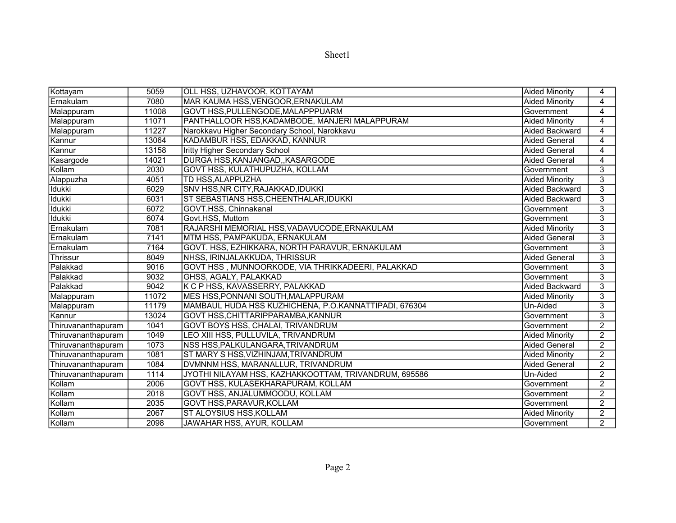| ۱e<br>г.<br>Æ |
|---------------|
|---------------|

| Kottayam           | 5059  | OLL HSS, UZHAVOOR, KOTTAYAM                           | <b>Aided Minority</b> | 4              |
|--------------------|-------|-------------------------------------------------------|-----------------------|----------------|
| Ernakulam          | 7080  | MAR KAUMA HSS, VENGOOR, ERNAKULAM                     | <b>Aided Minority</b> | 4              |
| Malappuram         | 11008 | GOVT HSS, PULLENGODE, MALAPPPUARM                     | Government            | 4              |
| Malappuram         | 11071 | PANTHALLOOR HSS, KADAMBODE, MANJERI MALAPPURAM        | <b>Aided Minority</b> | 4              |
| Malappuram         | 11227 | Narokkavu Higher Secondary School, Narokkavu          | Aided Backward        | 4              |
| Kannur             | 13064 | KADAMBUR HSS, EDAKKAD, KANNUR                         | <b>Aided General</b>  | 4              |
| Kannur             | 13158 | Iritty Higher Secondary School                        | <b>Aided General</b>  | 4              |
| Kasargode          | 14021 | DURGA HSS, KANJANGAD, , KASARGODE                     | <b>Aided General</b>  | 4              |
| Kollam             | 2030  | <b>GOVT HSS, KULATHUPUZHA, KOLLAM</b>                 | Government            | 3              |
| Alappuzha          | 4051  | TD HSS, ALAPPUZHA                                     | <b>Aided Minority</b> | 3              |
| <b>Idukki</b>      | 6029  | SNV HSS,NR CITY,RAJAKKAD,IDUKKI                       | Aided Backward        | 3              |
| <b>Idukki</b>      | 6031  | ST SEBASTIANS HSS, CHEENTHALAR, IDUKKI                | Aided Backward        | 3              |
| <b>Idukki</b>      | 6072  | GOVT.HSS, Chinnakanal                                 | Government            | 3              |
| Idukki             | 6074  | Govt.HSS, Muttom                                      | Government            | 3              |
| Ernakulam          | 7081  | RAJARSHI MEMORIAL HSS, VADAVUCODE, ERNAKULAM          | <b>Aided Minority</b> | $\overline{3}$ |
| Ernakulam          | 7141  | MTM HSS, PAMPAKUDA, ERNAKULAM                         | <b>Aided General</b>  | 3              |
| <b>Ernakulam</b>   | 7164  | GOVT. HSS, EZHIKKARA, NORTH PARAVUR, ERNAKULAM        | Government            | 3              |
| Thrissur           | 8049  | INHSS, IRINJALAKKUDA, THRISSUR                        | <b>Aided General</b>  | 3              |
| Palakkad           | 9016  | GOVT HSS , MUNNOORKODE, VIA THRIKKADEERI, PALAKKAD    | Government            | 3              |
| Palakkad           | 9032  | GHSS, AGALY, PALAKKAD                                 | Government            | 3              |
| Palakkad           | 9042  | K C P HSS, KAVASSERRY, PALAKKAD                       | Aided Backward        | 3              |
| Malappuram         | 11072 | MES HSS,PONNANI SOUTH,MALAPPURAM                      | <b>Aided Minority</b> | 3              |
| Malappuram         | 11179 | MAMBAUL HUDA HSS KUZHICHENA, P.O.KANNATTIPADI, 676304 | Un-Aided              | 3              |
| Kannur             | 13024 | GOVT HSS,CHITTARIPPARAMBA,KANNUR                      | Government            | 3              |
| Thiruvananthapuram | 1041  | <b>GOVT BOYS HSS, CHALAI, TRIVANDRUM</b>              | Government            | $\overline{2}$ |
| Thiruvananthapuram | 1049  | LEO XIII HSS, PULLUVILA, TRIVANDRUM                   | <b>Aided Minority</b> | $\overline{2}$ |
| Thiruvananthapuram | 1073  | NSS HSS, PALKULANGARA, TRIVANDRUM                     | Aided General         | $\overline{2}$ |
| Thiruvananthapuram | 1081  | ST MARY S HSS,VIZHINJAM,TRIVANDRUM                    | <b>Aided Minority</b> | $\overline{2}$ |
| Thiruvananthapuram | 1084  | DVMNNM HSS, MARANALLUR, TRIVANDRUM                    | <b>Aided General</b>  | $\overline{2}$ |
| Thiruvananthapuram | 1114  | JYOTHI NILAYAM HSS, KAZHAKKOOTTAM, TRIVANDRUM, 695586 | Un-Aided              | $\overline{2}$ |
| Kollam             | 2006  | GOVT HSS, KULASEKHARAPURAM, KOLLAM                    | Government            | $\overline{2}$ |
| Kollam             | 2018  | GOVT HSS, ANJALUMMOODU, KOLLAM                        | Government            | $\overline{2}$ |
| Kollam             | 2035  | GOVT HSS,PARAVUR,KOLLAM                               | Government            | $\overline{2}$ |
| Kollam             | 2067  | ST ALOYSIUS HSS,KOLLAM                                | <b>Aided Minority</b> | $\overline{2}$ |
| Kollam             | 2098  | JAWAHAR HSS, AYUR, KOLLAM                             | Government            | $\overline{2}$ |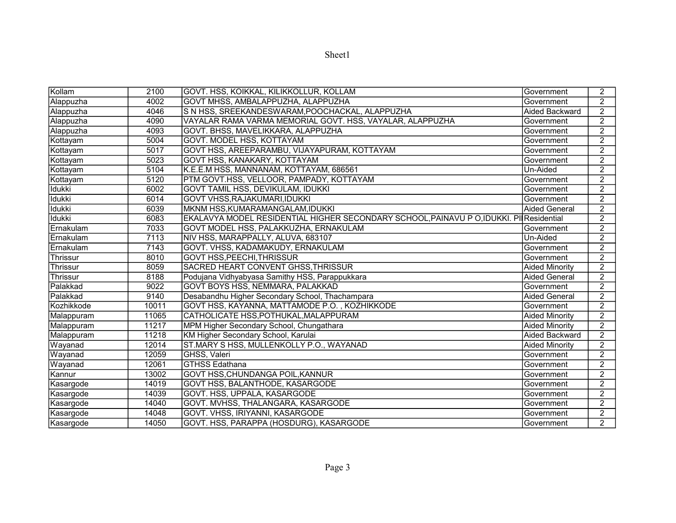| ١e<br>n<br>. . |
|----------------|
|----------------|

| Kollam        | 2100  | GOVT. HSS, KOIKKAL, KILIKKOLLUR, KOLLAM                                                 | Government            | $\overline{2}$ |
|---------------|-------|-----------------------------------------------------------------------------------------|-----------------------|----------------|
| Alappuzha     | 4002  | GOVT MHSS, AMBALAPPUZHA, ALAPPUZHA                                                      | Government            | $\overline{2}$ |
| Alappuzha     | 4046  | S N HSS, SREEKANDESWARAM, POOCHACKAL, ALAPPUZHA                                         | Aided Backward        | $\overline{2}$ |
| Alappuzha     | 4090  | VAYALAR RAMA VARMA MEMORIAL GOVT. HSS, VAYALAR, ALAPPUZHA                               | Government            | $\overline{2}$ |
| Alappuzha     | 4093  | GOVT. BHSS, MAVELIKKARA, ALAPPUZHA                                                      | Government            | $\overline{2}$ |
| Kottayam      | 5004  | GOVT. MODEL HSS, KOTTAYAM                                                               | Government            | 2              |
| Kottayam      | 5017  | GOVT HSS, AREEPARAMBU, VIJAYAPURAM, KOTTAYAM                                            | Government            | $\overline{2}$ |
| Kottayam      | 5023  | GOVT HSS, KANAKARY, KOTTAYAM                                                            | Government            | $\overline{2}$ |
| Kottayam      | 5104  | K.E.E.M HSS, MANNANAM, KOTTAYAM, 686561                                                 | Un-Aided              | $\overline{2}$ |
| Kottayam      | 5120  | PTM GOVT.HSS, VELLOOR, PAMPADY, KOTTAYAM                                                | Government            | $\overline{2}$ |
| <b>Idukki</b> | 6002  | GOVT TAMIL HSS, DEVIKULAM, IDUKKI                                                       | Government            | $\overline{2}$ |
| <b>Idukki</b> | 6014  | GOVT VHSS, RAJAKUMARI, IDUKKI                                                           | Government            | $\overline{2}$ |
| <b>Idukki</b> | 6039  | MKNM HSS, KUMARAMANGALAM, IDUKKI                                                        | Aided General         | $\overline{2}$ |
| <b>Idukki</b> | 6083  | EKALAVYA MODEL RESIDENTIAL HIGHER SECONDARY SCHOOL, PAINAVU P O, IDUKKI. PI Residential |                       | $\overline{2}$ |
| Ernakulam     | 7033  | GOVT MODEL HSS, PALAKKUZHA, ERNAKULAM                                                   | Government            | $\overline{2}$ |
| Ernakulam     | 7113  | NIV HSS, MARAPPALLY, ALUVA, 683107                                                      | Un-Aided              | $\overline{2}$ |
| Ernakulam     | 7143  | GOVT. VHSS, KADAMAKUDY, ERNAKULAM                                                       | Government            | $\overline{2}$ |
| Thrissur      | 8010  | <b>GOVT HSS, PEECHI, THRISSUR</b>                                                       | Government            | $\overline{2}$ |
| Thrissur      | 8059  | SACRED HEART CONVENT GHSS, THRISSUR                                                     | <b>Aided Minority</b> | $\overline{2}$ |
| Thrissur      | 8188  | Podujana Vidhyabyasa Samithy HSS, Parappukkara                                          | <b>Aided General</b>  | $\overline{2}$ |
| Palakkad      | 9022  | GOVT BOYS HSS, NEMMARA, PALAKKAD                                                        | Government            | $\overline{2}$ |
| Palakkad      | 9140  | Desabandhu Higher Secondary School, Thachampara                                         | <b>Aided General</b>  | $\overline{2}$ |
| Kozhikkode    | 10011 | GOVT HSS, KAYANNA, MATTAMODE P.O., KOZHIKKODE                                           | Government            | $\overline{2}$ |
| Malappuram    | 11065 | CATHOLICATE HSS, POTHUKAL, MALAPPURAM                                                   | <b>Aided Minority</b> | $\overline{2}$ |
| Malappuram    | 11217 | MPM Higher Secondary School, Chungathara                                                | <b>Aided Minority</b> | $\overline{2}$ |
| Malappuram    | 11218 | KM Higher Secondary School, Karulai                                                     | Aided Backward        | $\overline{2}$ |
| Wayanad       | 12014 | ST.MARY S HSS, MULLENKOLLY P.O., WAYANAD                                                | <b>Aided Minority</b> | $\overline{2}$ |
| Wayanad       | 12059 | GHSS, Valeri                                                                            | Government            | $\overline{2}$ |
| Wayanad       | 12061 | <b>GTHSS Edathana</b>                                                                   | Government            | $\overline{2}$ |
| Kannur        | 13002 | GOVT HSS, CHUNDANGA POIL, KANNUR                                                        | Government            | $\overline{2}$ |
| Kasargode     | 14019 | GOVT HSS, BALANTHODE, KASARGODE                                                         | Government            | $\overline{2}$ |
| Kasargode     | 14039 | GOVT. HSS, UPPALA, KASARGODE                                                            | Government            | $\overline{2}$ |
| Kasargode     | 14040 | GOVT. MVHSS, THALANGARA, KASARGODE                                                      | Government            | $\overline{2}$ |
| Kasargode     | 14048 | GOVT. VHSS, IRIYANNI, KASARGODE                                                         | Government            | $\overline{2}$ |
| Kasargode     | 14050 | GOVT. HSS, PARAPPA (HOSDURG), KASARGODE                                                 | lGovernment           | $\overline{2}$ |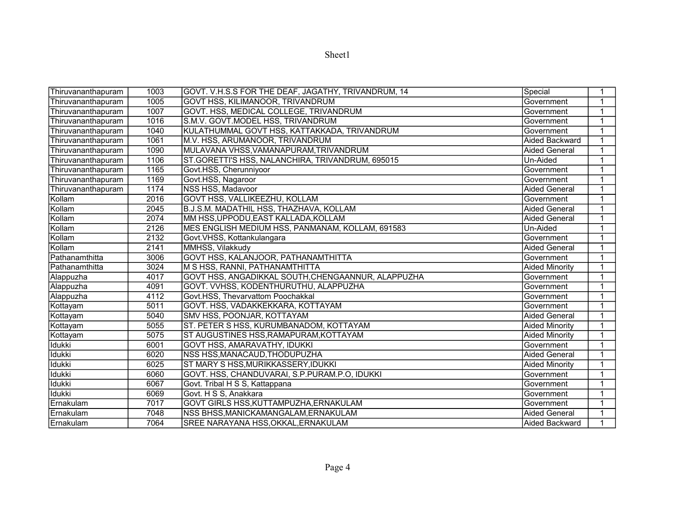| ۱e<br>г.<br>Æ |
|---------------|
|---------------|

| Thiruvananthapuram | 1003 | GOVT. V.H.S.S FOR THE DEAF, JAGATHY, TRIVANDRUM, 14 | Special               | 1 |
|--------------------|------|-----------------------------------------------------|-----------------------|---|
| Thiruvananthapuram | 1005 | GOVT HSS, KILIMANOOR, TRIVANDRUM                    | Government            | 1 |
| Thiruvananthapuram | 1007 | GOVT. HSS, MEDICAL COLLEGE, TRIVANDRUM              | Government            | 1 |
| Thiruvananthapuram | 1016 | S.M.V. GOVT.MODEL HSS, TRIVANDRUM                   | Government            |   |
| Thiruvananthapuram | 1040 | KULATHUMMAL GOVT HSS, KATTAKKADA, TRIVANDRUM        | Government            | 1 |
| Thiruvananthapuram | 1061 | M.V. HSS, ARUMANOOR, TRIVANDRUM                     | Aided Backward        |   |
| Thiruvananthapuram | 1090 | MULAVANA VHSS, VAMANAPURAM, TRIVANDRUM              | <b>Aided General</b>  |   |
| Thiruvananthapuram | 1106 | ST.GORETTI'S HSS, NALANCHIRA, TRIVANDRUM, 695015    | Un-Aided              | 1 |
| Thiruvananthapuram | 1165 | Govt.HSS, Cherunniyoor                              | Government            | 1 |
| Thiruvananthapuram | 1169 | Govt.HSS, Nagaroor                                  | Government            |   |
| Thiruvananthapuram | 1174 | NSS HSS, Madavoor                                   | <b>Aided General</b>  |   |
| Kollam             | 2016 | GOVT HSS, VALLIKEEZHU, KOLLAM                       | Government            |   |
| Kollam             | 2045 | B.J.S.M. MADATHIL HSS, THAZHAVA, KOLLAM             | Aided General         | 1 |
| Kollam             | 2074 | MM HSS, UPPODU, EAST KALLADA, KOLLAM                | <b>Aided General</b>  |   |
| Kollam             | 2126 | MES ENGLISH MEDIUM HSS, PANMANAM, KOLLAM, 691583    | Un-Aided              | 1 |
| Kollam             | 2132 | Govt.VHSS, Kottankulangara                          | Government            |   |
| Kollam             | 2141 | MMHSS, Vilakkudy                                    | Aided General         | 1 |
| Pathanamthitta     | 3006 | GOVT HSS, KALANJOOR, PATHANAMTHITTA                 | Government            | 1 |
| Pathanamthitta     | 3024 | M S HSS, RANNI, PATHANAMTHITTA                      | <b>Aided Minority</b> | 1 |
| Alappuzha          | 4017 | GOVT HSS, ANGADIKKAL SOUTH, CHENGAANNUR, ALAPPUZHA  | Government            | 1 |
| Alappuzha          | 4091 | GOVT. VVHSS, KODENTHURUTHU, ALAPPUZHA               | Government            | 1 |
| Alappuzha          | 4112 | Govt.HSS, Thevarvattom Poochakkal                   | Government            |   |
| Kottayam           | 5011 | GOVT. HSS, VADAKKEKKARA, KOTTAYAM                   | Government            |   |
| Kottayam           | 5040 | SMV HSS, POONJAR, KOTTAYAM                          | <b>Aided General</b>  |   |
| Kottayam           | 5055 | ST. PETER S HSS, KURUMBANADOM, KOTTAYAM             | <b>Aided Minority</b> | 1 |
| Kottayam           | 5075 | ST AUGUSTINES HSS, RAMAPURAM, KOTTAYAM              | <b>Aided Minority</b> | 1 |
| Idukki             | 6001 | <b>GOVT HSS, AMARAVATHY, IDUKKI</b>                 | Government            | 1 |
| <b>Idukki</b>      | 6020 | NSS HSS, MANACAUD, THODUPUZHA                       | <b>Aided General</b>  | 1 |
| <b>Idukki</b>      | 6025 | ST MARY S HSS, MURIKKASSERY, IDUKKI                 | <b>Aided Minority</b> | 1 |
| Idukki             | 6060 | GOVT. HSS, CHANDUVARAI, S.P.PURAM.P.O, IDUKKI       | Government            | 1 |
| <b>Idukki</b>      | 6067 | Govt. Tribal H S S, Kattappana                      | Government            | 1 |
| Idukki             | 6069 | Govt. H S S, Anakkara                               | Government            |   |
| Ernakulam          | 7017 | GOVT GIRLS HSS, KUTTAMPUZHA, ERNAKULAM              | Government            | 1 |
| Ernakulam          | 7048 | NSS BHSS, MANICKAMANGALAM, ERNAKULAM                | <b>Aided General</b>  |   |
| Ernakulam          | 7064 | SREE NARAYANA HSS, OKKAL, ERNAKULAM                 | Aided Backward        | 1 |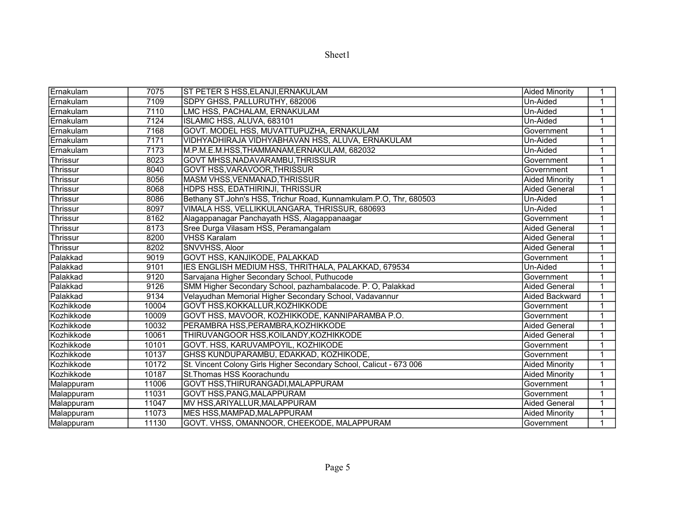| ۱e<br>г.<br>Æ |
|---------------|
|---------------|

| Ernakulam  | 7075  | <b>ST PETER S HSS, ELANJI, ERNAKULAM</b>                            | <b>Aided Minority</b> | 1 |
|------------|-------|---------------------------------------------------------------------|-----------------------|---|
| Ernakulam  | 7109  | SDPY GHSS, PALLURUTHY, 682006                                       | Un-Aided              | 1 |
| Ernakulam  | 7110  | LMC HSS, PACHALAM, ERNAKULAM                                        | Un-Aided              | 1 |
| Ernakulam  | 7124  | ISLAMIC HSS, ALUVA, 683101                                          | Un-Aided              |   |
| Ernakulam  | 7168  | GOVT. MODEL HSS, MUVATTUPUZHA, ERNAKULAM                            | Government            |   |
| Ernakulam  | 7171  | VIDHYADHIRAJA VIDHYABHAVAN HSS, ALUVA, ERNAKULAM                    | Un-Aided              |   |
| IErnakulam | 7173  | M.P.M.E.M.HSS,THAMMANAM,ERNAKULAM, 682032                           | Un-Aided              |   |
| Thrissur   | 8023  | GOVT MHSS, NADAVARAMBU, THRISSUR                                    | Government            | 1 |
| Thrissur   | 8040  | <b>GOVT HSS, VARAVOOR, THRISSUR</b>                                 | Government            | 1 |
| Thrissur   | 8056  | MASM VHSS, VENMANAD, THRISSUR                                       | <b>Aided Minority</b> | 1 |
| Thrissur   | 8068  | <b>HDPS HSS, EDATHIRINJI, THRISSUR</b>                              | <b>Aided General</b>  |   |
| Thrissur   | 8086  | Bethany ST.John's HSS, Trichur Road, Kunnamkulam.P.O, Thr, 680503   | Un-Aided              | 1 |
| Thrissur   | 8097  | VIMALA HSS, VELLIKKULANGARA, THRISSUR, 680693                       | Un-Aided              | 1 |
| Thrissur   | 8162  | Alagappanagar Panchayath HSS, Alagappanaagar                        | Government            | 1 |
| Thrissur   | 8173  | Sree Durga Vilasam HSS, Peramangalam                                | <b>Aided General</b>  |   |
| Thrissur   | 8200  | <b>VHSS Karalam</b>                                                 | Aided General         |   |
| Thrissur   | 8202  | SNVVHSS, Aloor                                                      | <b>Aided General</b>  | 1 |
| Palakkad   | 9019  | GOVT HSS, KANJIKODE, PALAKKAD                                       | Government            | 1 |
| Palakkad   | 9101  | IES ENGLISH MEDIUM HSS, THRITHALA, PALAKKAD, 679534                 | Un-Aided              |   |
| Palakkad   | 9120  | Sarvajana Higher Secondary School, Puthucode                        | Government            |   |
| Palakkad   | 9126  | SMM Higher Secondary School, pazhambalacode. P. O, Palakkad         | <b>Aided General</b>  |   |
| Palakkad   | 9134  | Velayudhan Memorial Higher Secondary School, Vadavannur             | <b>Aided Backward</b> |   |
| Kozhikkode | 10004 | GOVT HSS, KOKKALLUR, KOZHIKKODE                                     | Government            |   |
| Kozhikkode | 10009 | GOVT HSS, MAVOOR, KOZHIKKODE, KANNIPARAMBA P.O.                     | Government            |   |
| Kozhikkode | 10032 | PERAMBRA HSS, PERAMBRA, KOZHIKKODE                                  | <b>Aided General</b>  |   |
| Kozhikkode | 10061 | THIRUVANGOOR HSS, KOILANDY, KOZHIKKODE                              | <b>Aided General</b>  |   |
| Kozhikkode | 10101 | GOVT. HSS, KARUVAMPOYIL, KOZHIKODE                                  | Government            |   |
| Kozhikkode | 10137 | GHSS KUNDUPARAMBU, EDAKKAD, KOZHIKODE,                              | Government            | 1 |
| Kozhikkode | 10172 | St. Vincent Colony Girls Higher Secondary School, Calicut - 673 006 | <b>Aided Minority</b> |   |
| Kozhikkode | 10187 | St. Thomas HSS Koorachundu                                          | <b>Aided Minority</b> | 1 |
| Malappuram | 11006 | GOVT HSS, THIRURANGADI, MALAPPURAM                                  | Government            |   |
| Malappuram | 11031 | GOVT HSS, PANG, MALAPPURAM                                          | Government            |   |
| Malappuram | 11047 | MV HSS, ARIYALLUR, MALAPPURAM                                       | <b>Aided General</b>  | 1 |
| Malappuram | 11073 | MES HSS, MAMPAD, MALAPPURAM                                         | <b>Aided Minority</b> | 1 |
| Malappuram | 11130 | GOVT. VHSS, OMANNOOR, CHEEKODE, MALAPPURAM                          | Government            |   |